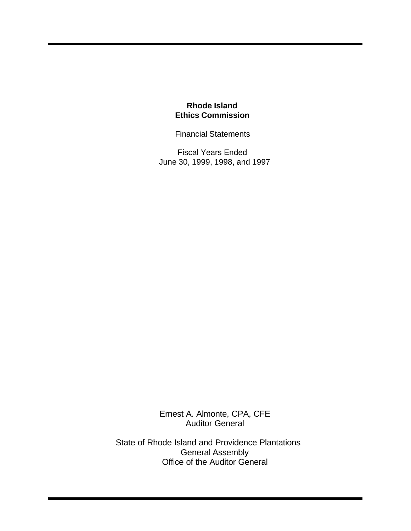Financial Statements

Fiscal Years Ended June 30, 1999, 1998, and 1997

Ernest A. Almonte, CPA, CFE Auditor General

State of Rhode Island and Providence Plantations General Assembly Office of the Auditor General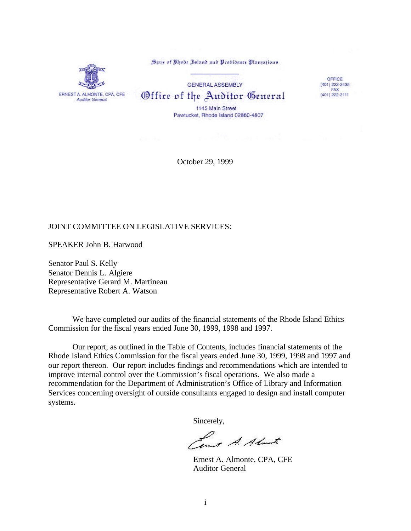State of Rhode Island and Probidence Plantations



**GENERAL ASSEMBLY** Office of the Auditor General

OFFICE (401) 222-2435 FAX (401) 222-2111

1145 Main Street Pawtucket, Rhode Island 02860-4807

October 29, 1999

### JOINT COMMITTEE ON LEGISLATIVE SERVICES:

SPEAKER John B. Harwood

Senator Paul S. Kelly Senator Dennis L. Algiere Representative Gerard M. Martineau Representative Robert A. Watson

We have completed our audits of the financial statements of the Rhode Island Ethics Commission for the fiscal years ended June 30, 1999, 1998 and 1997.

Our report, as outlined in the Table of Contents, includes financial statements of the Rhode Island Ethics Commission for the fiscal years ended June 30, 1999, 1998 and 1997 and our report thereon. Our report includes findings and recommendations which are intended to improve internal control over the Commission's fiscal operations. We also made a recommendation for the Department of Administration's Office of Library and Information Services concerning oversight of outside consultants engaged to design and install computer systems.

Sincerely,

Lower A. Almarte

Ernest A. Almonte, CPA, CFE Auditor General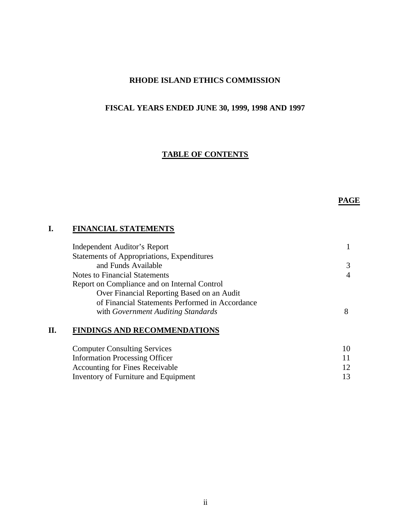# **RHODE ISLAND ETHICS COMMISSION**

# **FISCAL YEARS ENDED JUNE 30, 1999, 1998 AND 1997**

### **TABLE OF CONTENTS**

# **PAGE**

### **I. FINANCIAL STATEMENTS**

| Independent Auditor's Report                    |                |
|-------------------------------------------------|----------------|
| Statements of Appropriations, Expenditures      |                |
| and Funds Available                             | 3              |
| <b>Notes to Financial Statements</b>            | $\overline{4}$ |
| Report on Compliance and on Internal Control    |                |
| Over Financial Reporting Based on an Audit      |                |
| of Financial Statements Performed in Accordance |                |
| with Government Auditing Standards              | 8              |
|                                                 |                |

# **II. FINDINGS AND RECOMMENDATIONS**

| <b>Computer Consulting Services</b>    |  |
|----------------------------------------|--|
| <b>Information Processing Officer</b>  |  |
| <b>Accounting for Fines Receivable</b> |  |
| Inventory of Furniture and Equipment   |  |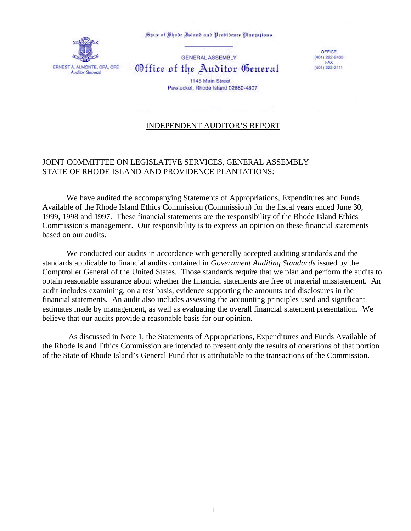State of Rhode Island and Probidence Plantations



**GENERAL ASSEMBLY** Office of the Auditor General

1145 Main Street Pawtucket, Rhode Island 02860-4807

OFFICE  $(401)$  222-2435 FAX (401) 222-2111

## INDEPENDENT AUDITOR'S REPORT

# JOINT COMMITTEE ON LEGISLATIVE SERVICES, GENERAL ASSEMBLY STATE OF RHODE ISLAND AND PROVIDENCE PLANTATIONS:

We have audited the accompanying Statements of Appropriations, Expenditures and Funds Available of the Rhode Island Ethics Commission (Commission) for the fiscal years ended June 30, 1999, 1998 and 1997. These financial statements are the responsibility of the Rhode Island Ethics Commission's management. Our responsibility is to express an opinion on these financial statements based on our audits.

We conducted our audits in accordance with generally accepted auditing standards and the standards applicable to financial audits contained in *Government Auditing Standards* issued by the Comptroller General of the United States. Those standards require that we plan and perform the audits to obtain reasonable assurance about whether the financial statements are free of material misstatement. An audit includes examining, on a test basis, evidence supporting the amounts and disclosures in the financial statements. An audit also includes assessing the accounting principles used and significant estimates made by management, as well as evaluating the overall financial statement presentation. We believe that our audits provide a reasonable basis for our opinion.

 As discussed in Note 1, the Statements of Appropriations, Expenditures and Funds Available of the Rhode Island Ethics Commission are intended to present only the results of operations of that portion of the State of Rhode Island's General Fund that is attributable to the transactions of the Commission.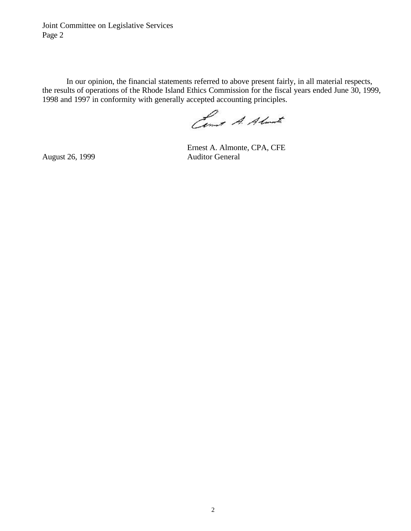Joint Committee on Legislative Services Page 2

In our opinion, the financial statements referred to above present fairly, in all material respects, the results of operations of the Rhode Island Ethics Commission for the fiscal years ended June 30, 1999, 1998 and 1997 in conformity with generally accepted accounting principles.

Come A. Almate

Ernest A. Almonte, CPA, CFE August 26, 1999 Auditor General

2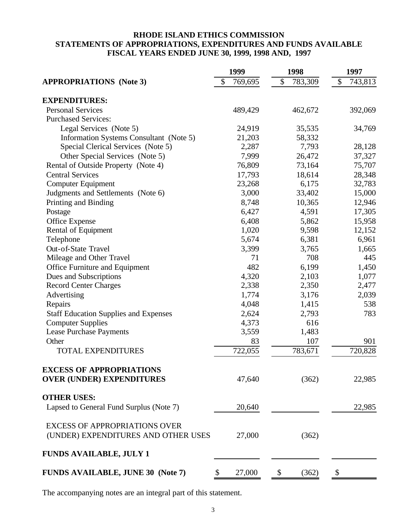# **RHODE ISLAND ETHICS COMMISSION STATEMENTS OF APPROPRIATIONS, EXPENDITURES AND FUNDS AVAILABLE FISCAL YEARS ENDED JUNE 30, 1999, 1998 AND, 1997**

|                                              | 1999          | 1998          | 1997          |  |
|----------------------------------------------|---------------|---------------|---------------|--|
| <b>APPROPRIATIONS (Note 3)</b>               | \$<br>769,695 | \$<br>783,309 | \$<br>743,813 |  |
| <b>EXPENDITURES:</b>                         |               |               |               |  |
| <b>Personal Services</b>                     | 489,429       | 462,672       | 392,069       |  |
| <b>Purchased Services:</b>                   |               |               |               |  |
| Legal Services (Note 5)                      | 24,919        | 35,535        | 34,769        |  |
| Information Systems Consultant (Note 5)      | 21,203        | 58,332        |               |  |
| Special Clerical Services (Note 5)           | 2,287         | 7,793         | 28,128        |  |
| Other Special Services (Note 5)              | 7,999         | 26,472        | 37,327        |  |
| Rental of Outside Property (Note 4)          | 76,809        | 73,164        | 75,707        |  |
| <b>Central Services</b>                      | 17,793        | 18,614        | 28,348        |  |
| <b>Computer Equipment</b>                    | 23,268        | 6,175         | 32,783        |  |
| Judgments and Settlements (Note 6)           | 3,000         | 33,402        | 15,000        |  |
| Printing and Binding                         | 8,748         | 10,365        | 12,946        |  |
| Postage                                      | 6,427         | 4,591         | 17,305        |  |
| Office Expense                               | 6,408         | 5,862         | 15,958        |  |
| Rental of Equipment                          | 1,020         | 9,598         | 12,152        |  |
| Telephone                                    | 5,674         | 6,381         | 6,961         |  |
| Out-of-State Travel                          | 3,399         | 3,765         | 1,665         |  |
| Mileage and Other Travel                     | 71            | 708           | 445           |  |
| Office Furniture and Equipment               | 482           | 6,199         | 1,450         |  |
| Dues and Subscriptions                       | 4,320         | 2,103         | 1,077         |  |
| <b>Record Center Charges</b>                 | 2,338         | 2,350         | 2,477         |  |
| Advertising                                  | 1,774         | 3,176         | 2,039         |  |
| Repairs                                      | 4,048         | 1,415         | 538           |  |
| <b>Staff Education Supplies and Expenses</b> | 2,624         | 2,793         | 783           |  |
| <b>Computer Supplies</b>                     | 4,373         | 616           |               |  |
| <b>Lease Purchase Payments</b>               | 3,559         | 1,483         |               |  |
| Other                                        | 83            | 107           | 901           |  |
| <b>TOTAL EXPENDITURES</b>                    | 722,055       | 783,671       | 720,828       |  |
| <b>EXCESS OF APPROPRIATIONS</b>              |               |               |               |  |
| <b>OVER (UNDER) EXPENDITURES</b>             | 47,640        | (362)         | 22,985        |  |
| <b>OTHER USES:</b>                           |               |               |               |  |
| Lapsed to General Fund Surplus (Note 7)      | 20,640        |               | 22,985        |  |
| <b>EXCESS OF APPROPRIATIONS OVER</b>         |               |               |               |  |
| (UNDER) EXPENDITURES AND OTHER USES          | 27,000        | (362)         |               |  |
| <b>FUNDS AVAILABLE, JULY 1</b>               |               |               |               |  |
| <b>FUNDS AVAILABLE, JUNE 30 (Note 7)</b>     | 27,000<br>\$  | \$<br>(362)   | \$            |  |

The accompanying notes are an integral part of this statement.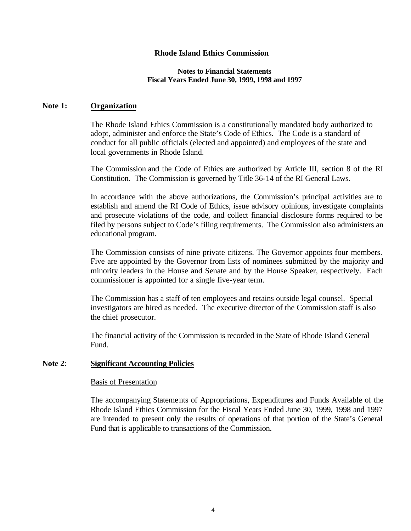#### **Notes to Financial Statements Fiscal Years Ended June 30, 1999, 1998 and 1997**

#### **Note 1: Organization**

The Rhode Island Ethics Commission is a constitutionally mandated body authorized to adopt, administer and enforce the State's Code of Ethics. The Code is a standard of conduct for all public officials (elected and appointed) and employees of the state and local governments in Rhode Island.

The Commission and the Code of Ethics are authorized by Article III, section 8 of the RI Constitution. The Commission is governed by Title 36-14 of the RI General Laws.

In accordance with the above authorizations, the Commission's principal activities are to establish and amend the RI Code of Ethics, issue advisory opinions, investigate complaints and prosecute violations of the code, and collect financial disclosure forms required to be filed by persons subject to Code's filing requirements. The Commission also administers an educational program.

The Commission consists of nine private citizens. The Governor appoints four members. Five are appointed by the Governor from lists of nominees submitted by the majority and minority leaders in the House and Senate and by the House Speaker, respectively. Each commissioner is appointed for a single five-year term.

The Commission has a staff of ten employees and retains outside legal counsel. Special investigators are hired as needed. The executive director of the Commission staff is also the chief prosecutor.

The financial activity of the Commission is recorded in the State of Rhode Island General Fund.

### **Note 2**: **Significant Accounting Policies**

#### Basis of Presentation

The accompanying Statements of Appropriations, Expenditures and Funds Available of the Rhode Island Ethics Commission for the Fiscal Years Ended June 30, 1999, 1998 and 1997 are intended to present only the results of operations of that portion of the State's General Fund that is applicable to transactions of the Commission.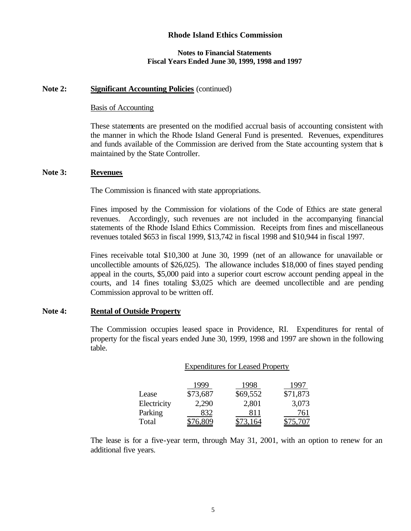#### **Notes to Financial Statements Fiscal Years Ended June 30, 1999, 1998 and 1997**

#### **Note 2: Significant Accounting Policies** (continued)

#### Basis of Accounting

These statements are presented on the modified accrual basis of accounting consistent with the manner in which the Rhode Island General Fund is presented. Revenues, expenditures and funds available of the Commission are derived from the State accounting system that is maintained by the State Controller.

#### **Note 3: Revenues**

The Commission is financed with state appropriations.

Fines imposed by the Commission for violations of the Code of Ethics are state general revenues. Accordingly, such revenues are not included in the accompanying financial statements of the Rhode Island Ethics Commission. Receipts from fines and miscellaneous revenues totaled \$653 in fiscal 1999, \$13,742 in fiscal 1998 and \$10,944 in fiscal 1997.

Fines receivable total \$10,300 at June 30, 1999 (net of an allowance for unavailable or uncollectible amounts of \$26,025). The allowance includes \$18,000 of fines stayed pending appeal in the courts, \$5,000 paid into a superior court escrow account pending appeal in the courts, and 14 fines totaling \$3,025 which are deemed uncollectible and are pending Commission approval to be written off.

### **Note 4: Rental of Outside Property**

The Commission occupies leased space in Providence, RI. Expenditures for rental of property for the fiscal years ended June 30, 1999, 1998 and 1997 are shown in the following table.

|             | <b>Expenditures for Leased Property</b> |          |          |  |
|-------------|-----------------------------------------|----------|----------|--|
|             | 1999                                    | 1998     | 1997     |  |
| Lease       | \$73,687                                | \$69,552 | \$71,873 |  |
| Electricity | 2,290                                   | 2,801    | 3,073    |  |
| Parking     | 832                                     | 811      | 761      |  |
| Total       |                                         |          |          |  |

The lease is for a five-year term, through May 31, 2001, with an option to renew for an additional five years.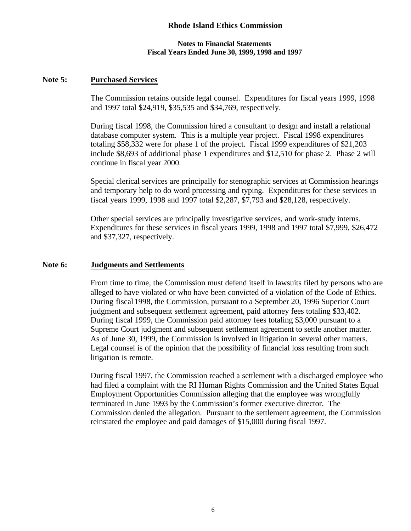#### **Notes to Financial Statements Fiscal Years Ended June 30, 1999, 1998 and 1997**

### **Note 5: Purchased Services**

The Commission retains outside legal counsel. Expenditures for fiscal years 1999, 1998 and 1997 total \$24,919, \$35,535 and \$34,769, respectively.

During fiscal 1998, the Commission hired a consultant to design and install a relational database computer system. This is a multiple year project. Fiscal 1998 expenditures totaling \$58,332 were for phase 1 of the project. Fiscal 1999 expenditures of \$21,203 include \$8,693 of additional phase 1 expenditures and \$12,510 for phase 2. Phase 2 will continue in fiscal year 2000.

Special clerical services are principally for stenographic services at Commission hearings and temporary help to do word processing and typing. Expenditures for these services in fiscal years 1999, 1998 and 1997 total \$2,287, \$7,793 and \$28,128, respectively.

Other special services are principally investigative services, and work-study interns. Expenditures for these services in fiscal years 1999, 1998 and 1997 total \$7,999, \$26,472 and \$37,327, respectively.

#### **Note 6: Judgments and Settlements**

From time to time, the Commission must defend itself in lawsuits filed by persons who are alleged to have violated or who have been convicted of a violation of the Code of Ethics. During fiscal 1998, the Commission, pursuant to a September 20, 1996 Superior Court judgment and subsequent settlement agreement, paid attorney fees totaling \$33,402. During fiscal 1999, the Commission paid attorney fees totaling \$3,000 pursuant to a Supreme Court judgment and subsequent settlement agreement to settle another matter. As of June 30, 1999, the Commission is involved in litigation in several other matters. Legal counsel is of the opinion that the possibility of financial loss resulting from such litigation is remote.

During fiscal 1997, the Commission reached a settlement with a discharged employee who had filed a complaint with the RI Human Rights Commission and the United States Equal Employment Opportunities Commission alleging that the employee was wrongfully terminated in June 1993 by the Commission's former executive director. The Commission denied the allegation. Pursuant to the settlement agreement, the Commission reinstated the employee and paid damages of \$15,000 during fiscal 1997.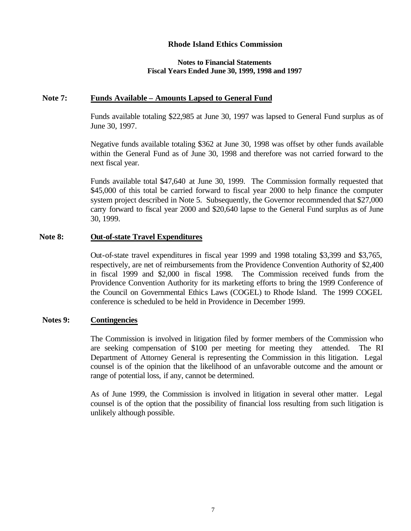#### **Notes to Financial Statements Fiscal Years Ended June 30, 1999, 1998 and 1997**

### **Note 7: Funds Available – Amounts Lapsed to General Fund**

Funds available totaling \$22,985 at June 30, 1997 was lapsed to General Fund surplus as of June 30, 1997.

Negative funds available totaling \$362 at June 30, 1998 was offset by other funds available within the General Fund as of June 30, 1998 and therefore was not carried forward to the next fiscal year.

Funds available total \$47,640 at June 30, 1999. The Commission formally requested that \$45,000 of this total be carried forward to fiscal year 2000 to help finance the computer system project described in Note 5. Subsequently, the Governor recommended that \$27,000 carry forward to fiscal year 2000 and \$20,640 lapse to the General Fund surplus as of June 30, 1999.

### **Note 8: Out-of-state Travel Expenditures**

Out-of-state travel expenditures in fiscal year 1999 and 1998 totaling \$3,399 and \$3,765, respectively, are net of reimbursements from the Providence Convention Authority of \$2,400 in fiscal 1999 and \$2,000 in fiscal 1998. The Commission received funds from the Providence Convention Authority for its marketing efforts to bring the 1999 Conference of the Council on Governmental Ethics Laws (COGEL) to Rhode Island. The 1999 COGEL conference is scheduled to be held in Providence in December 1999.

#### **Notes 9: Contingencies**

The Commission is involved in litigation filed by former members of the Commission who are seeking compensation of \$100 per meeting for meeting they attended. The RI Department of Attorney General is representing the Commission in this litigation. Legal counsel is of the opinion that the likelihood of an unfavorable outcome and the amount or range of potential loss, if any, cannot be determined.

As of June 1999, the Commission is involved in litigation in several other matter. Legal counsel is of the option that the possibility of financial loss resulting from such litigation is unlikely although possible.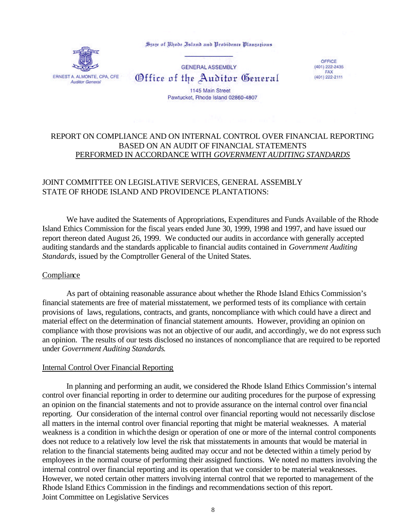State of Rhode Island and Probidence Plantations



**GENERAL ASSEMBLY** Office of the Auditor General

OFFICE (401) 222-2435 **FAX** (401) 222-2111

1145 Main Street Pawtucket, Rhode Island 02860-4807

## REPORT ON COMPLIANCE AND ON INTERNAL CONTROL OVER FINANCIAL REPORTING BASED ON AN AUDIT OF FINANCIAL STATEMENTS PERFORMED IN ACCORDANCE WITH *GOVERNMENT AUDITING STANDARDS*

### JOINT COMMITTEE ON LEGISLATIVE SERVICES, GENERAL ASSEMBLY STATE OF RHODE ISLAND AND PROVIDENCE PLANTATIONS:

We have audited the Statements of Appropriations, Expenditures and Funds Available of the Rhode Island Ethics Commission for the fiscal years ended June 30, 1999, 1998 and 1997, and have issued our report thereon dated August 26, 1999. We conducted our audits in accordance with generally accepted auditing standards and the standards applicable to financial audits contained in *Government Auditing Standards,* issued by the Comptroller General of the United States.

### Compliance

As part of obtaining reasonable assurance about whether the Rhode Island Ethics Commission's financial statements are free of material misstatement, we performed tests of its compliance with certain provisions of laws, regulations, contracts, and grants, noncompliance with which could have a direct and material effect on the determination of financial statement amounts. However, providing an opinion on compliance with those provisions was not an objective of our audit, and accordingly, we do not express such an opinion. The results of our tests disclosed no instances of noncompliance that are required to be reported under *Government Auditing Standards*.

#### Internal Control Over Financial Reporting

In planning and performing an audit, we considered the Rhode Island Ethics Commission's internal control over financial reporting in order to determine our auditing procedures for the purpose of expressing an opinion on the financial statements and not to provide assurance on the internal control over financial reporting. Our consideration of the internal control over financial reporting would not necessarily disclose all matters in the internal control over financial reporting that might be material weaknesses. A material weakness is a condition in which the design or operation of one or more of the internal control components does not reduce to a relatively low level the risk that misstatements in amounts that would be material in relation to the financial statements being audited may occur and not be detected within a timely period by employees in the normal course of performing their assigned functions. We noted no matters involving the internal control over financial reporting and its operation that we consider to be material weaknesses. However, we noted certain other matters involving internal control that we reported to management of the Rhode Island Ethics Commission in the findings and recommendations section of this report. Joint Committee on Legislative Services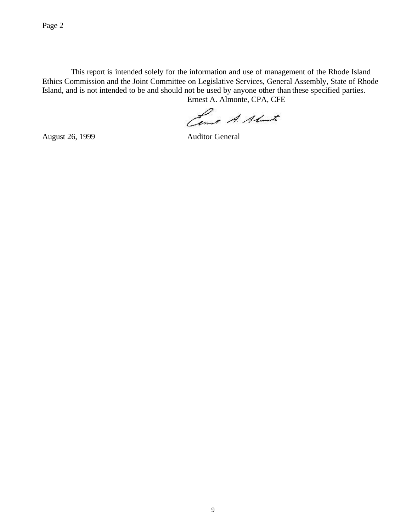This report is intended solely for the information and use of management of the Rhode Island Ethics Commission and the Joint Committee on Legislative Services, General Assembly, State of Rhode Island, and is not intended to be and should not be used by anyone other than these specified parties. Ernest A. Almonte, CPA, CFE

Come A. Almarte

August 26, 1999 Auditor General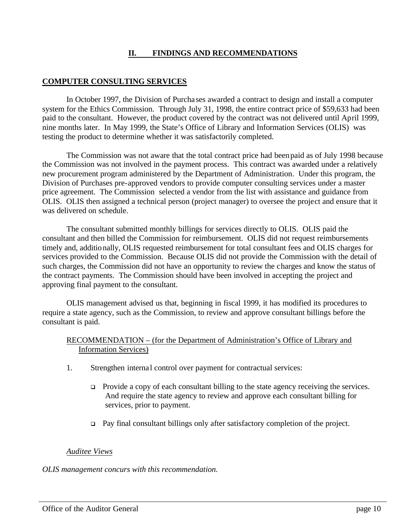## **II. FINDINGS AND RECOMMENDATIONS**

## **COMPUTER CONSULTING SERVICES**

In October 1997, the Division of Purcha ses awarded a contract to design and install a computer system for the Ethics Commission. Through July 31, 1998, the entire contract price of \$59,633 had been paid to the consultant. However, the product covered by the contract was not delivered until April 1999, nine months later. In May 1999, the State's Office of Library and Information Services (OLIS) was testing the product to determine whether it was satisfactorily completed.

The Commission was not aware that the total contract price had been paid as of July 1998 because the Commission was not involved in the payment process. This contract was awarded under a relatively new procurement program administered by the Department of Administration. Under this program, the Division of Purchases pre-approved vendors to provide computer consulting services under a master price agreement. The Commission selected a vendor from the list with assistance and guidance from OLIS. OLIS then assigned a technical person (project manager) to oversee the project and ensure that it was delivered on schedule.

The consultant submitted monthly billings for services directly to OLIS. OLIS paid the consultant and then billed the Commission for reimbursement. OLIS did not request reimbursements timely and, additionally, OLIS requested reimbursement for total consultant fees and OLIS charges for services provided to the Commission. Because OLIS did not provide the Commission with the detail of such charges, the Commission did not have an opportunity to review the charges and know the status of the contract payments. The Commission should have been involved in accepting the project and approving final payment to the consultant.

OLIS management advised us that, beginning in fiscal 1999, it has modified its procedures to require a state agency, such as the Commission, to review and approve consultant billings before the consultant is paid.

### RECOMMENDATION – (for the Department of Administration's Office of Library and Information Services)

- 1. Strengthen internal control over payment for contractual services:
	- $\Box$  Provide a copy of each consultant billing to the state agency receiving the services. And require the state agency to review and approve each consultant billing for services, prior to payment.
	- $\Box$  Pay final consultant billings only after satisfactory completion of the project.

## *Auditee Views*

*OLIS management concurs with this recommendation.*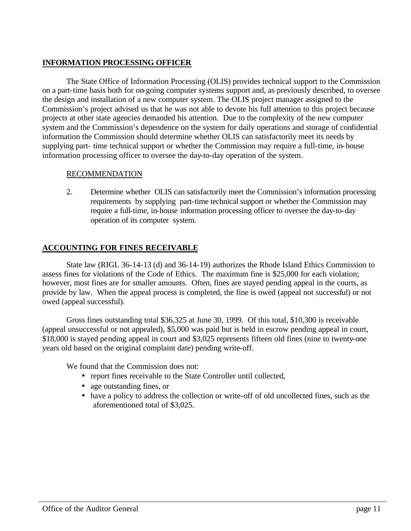# **INFORMATION PROCESSING OFFICER**

The State Office of Information Processing (OLIS) provides technical support to the Commission on a part-time basis both for on-going computer systems support and, as previously described, to oversee the design and installation of a new computer system. The OLIS project manager assigned to the Commission's project advised us that he was not able to devote his full attention to this project because projects at other state agencies demanded his attention. Due to the complexity of the new computer system and the Commission's dependence on the system for daily operations and storage of confidential information the Commission should determine whether OLIS can satisfactorily meet its needs by supplying part- time technical support or whether the Commission may require a full-time, in-house information processing officer to oversee the day-to-day operation of the system.

## RECOMMENDATION

2. Determine whether OLIS can satisfactorily meet the Commission's information processing requirements by supplying part-time technical support or whether the Commission may require a full-time, in-house information processing officer to oversee the day-to-day operation of its computer system.

## **ACCOUNTING FOR FINES RECEIVABLE**

State law (RIGL 36-14-13 (d) and 36-14-19) authorizes the Rhode Island Ethics Commission to assess fines for violations of the Code of Ethics. The maximum fine is \$25,000 for each violation; however, most fines are for smaller amounts. Often, fines are stayed pending appeal in the courts, as provide by law. When the appeal process is completed, the fine is owed (appeal not successful) or not owed (appeal successful).

Gross fines outstanding total \$36,325 at June 30, 1999. Of this total, \$10,300 is receivable (appeal unsuccessful or not appealed), \$5,000 was paid but is held in escrow pending appeal in court, \$18,000 is stayed pending appeal in court and \$3,025 represents fifteen old fines (nine to twenty-one years old based on the original complaint date) pending write-off.

We found that the Commission does not:

- report fines receivable to the State Controller until collected,
- age outstanding fines, or
- have a policy to address the collection or write-off of old uncollected fines, such as the aforementioned total of \$3,025.